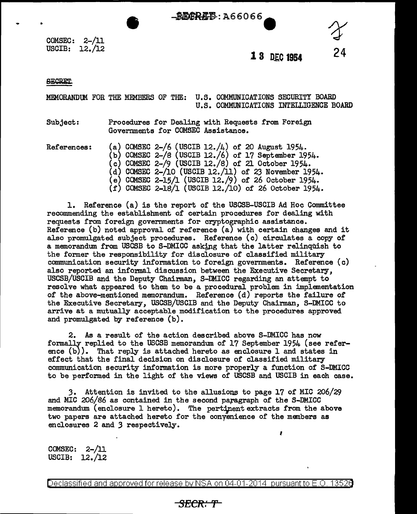- - 恩尼尼R-瓦- 1366066

COMSEC: 2-/11 USCIB: 12./12

**1 8 D.E.C 1954** 

I

 $\mathcal{X}$ 

**24** 

**SECRET** 

•

MEMORANDlM FOR THE MEMBERS OF THE: U.S. COMMUNICATIONS SECURITY BOARD U.S. COMMUNICATIONS INTELLIGENCE BOARD

Subject: Procedures for Dealing with Requests from Foreign Governments for COMSEC Assistance.

References: (a) COMSEC 2-/6 (USCIB 12./4) of 20 August 1954. (b) COMSEC 2-/S (USCIB 12./6) of 17 September 1954. (c) COMSEC 2-/9 (USCIB 12./S) of 21 October 1954.  $(d)$  COMSEC 2-/10 (USCIB 12./11) of 23 November 1954.  $(e)$  COMSEC 2-15/1 (USCIB 12./9) of 26 October 1954. (!) COMSEC 2-lS/l (USCIB 12./10) of 26 October 1954.

1. Reference (a) is the report of the USCSB-USCIB Ad Hoc Committee recommending the establishment of certain procedures for dealing with requests from foreign governments for cryptographic assistance. Reference (b) noted approval of reference (a) with certain changes and it also promulgated subject procedures. Reference (c) circulates a copy of a memorandum. from USCSB to S-DMICC asking that the latter relinquish to the former the responsibility for disclosure of classified military communication security information to foreign governments. Reference (c) also reported an informal discussion between the Executive Secretary, USCSB/USCIB and the Deputy Chairman, S-DMICC regarding an attempt to resolve what appeared to them to be a procedural problem in implementation of the above-mentioned memorandum. Reference (d) reports the failure of the Executive Secretary, USCSB/USCIB and the Deputy Chairman, S-DMICC to arrive at a mutually acceptable modification to the procedures approved and promulgated by reference (b).

2. As a result of the action described above S-DMICC has now formally replied to the USCSB memorandum of 17 September 1954 (see reference (b)). That reply is attached hereto as enclosure 1 and states in effect that the final decision on disclosure of classified military communication security information is more properly a function of S-DMICC to be performed in the light of the views of USCSB and USCIB in each case.

3. Attention is invited to the allusions to page  $17$  of MIC 206/29 and MIC 206/86 as contained in the second paragraph of the S-DMICC memorandum (enclosure 1 hereto). The pertipent extracts from the above two papers are attached hereto for the conyenience of the members as enclosures 2 and 3 respectively.

COMSEC: 2-/11 USCIB: 12./12

Declassified and approved for release by NSA on 04-01-2014 pursuant to E.O. 13526

### *SECR:T*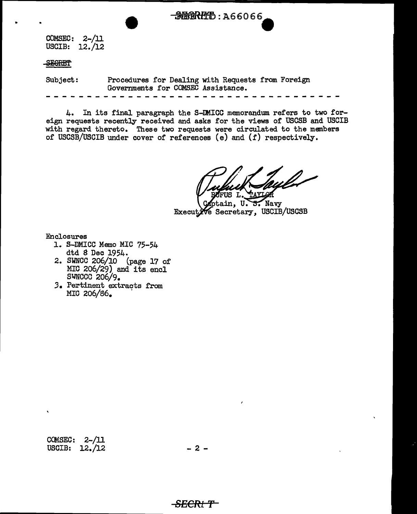$COMSEC: 2-/11$ USCIB: 12./12

#### **ABSERET**

Subject: Procedures for Dealing with Requests from Foreign Governments for COMSEC Assistance.

4. In its final paragraph the S-IMICC memorandum refers to two foreign requests recently received and asks for the views of USCSB and USCIB with regard thereto. These two requests were circulated to the members of USCSB/USCIB under cover of references (e) and (f) respectively.

- MERHHD: A66066

S. Navy ptain. U. Executive Secretary, USCIB/USCSB

Enclosures

- 1. S-DMICC Memo MIC 75-54 dtd 8 Dec 1954.
- 2. SWNCC 206/10 (page 17 of  $MIC$  206/29) and its encl SWNCCC 206/9.
- *3.* Pertinent extracts from MIG 206/86.

COMSEC: 2-/11 USCIB:  $12. / 12$  - 2 -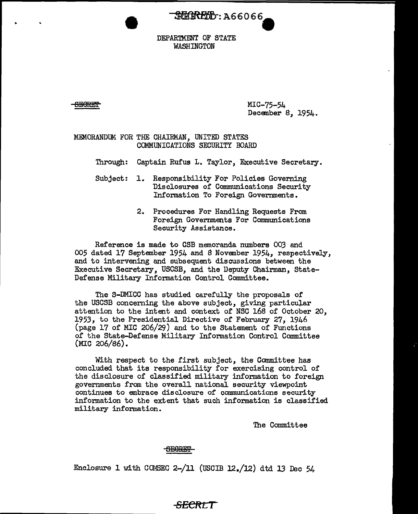**REEKEED: A66066** 

DEPARTMENT OF STATE WASHINGTON

s~eRE'!'

MIC-75-54 December 8, 1954.

#### MEMORANDUM FOR THE CHAIRMAN, UNITED STATES COMMUNICATIONS SECURITY BOARD

Through: Captain Rufus L. Taylor, Executive Secretary.

- Subject: 1. Responsibility For Policies Governing Disclosures of Communications Security Information To Foreign Governments.
	- 2. Procedures For Handling Requests From Foreign Governments For Communications Security Assistance.

Reference is made to CSB memoranda numbers 003 and 005 dated 17 September 1954 and 8 November 1954, respectively, and to intervening and subsequent discussions between the Executive Secretary, USCSB, and the Deputy Chairman, State-Defense Military Information Control Committee.

The S-DMICC has studied carefully the proposals of the USCSB concerning the above subject, giving particular attention to the intent and context of NSC 168 of October 20, 1953, to the Presidential Directive of February 27, 1946 (page 17 of MIC 206/29) and to the Statement of Functions of the State-Defense Military Information Control Committee (MIC 206/86).

With respect to the first subject, the Committee has concluded that its responsibility for exercising control of the disclosure of classified military information to foreign governments from the overall national security viewpoint continues to embrace disclosure of communications security information to the extent that such information is classified military information.

The Committee

#### <del>SECRET</del>

Enclosure 1 with COMSEC 2-/11 (USCIB 12./12) dtd 13 Dec 54

### **SECftf\_T**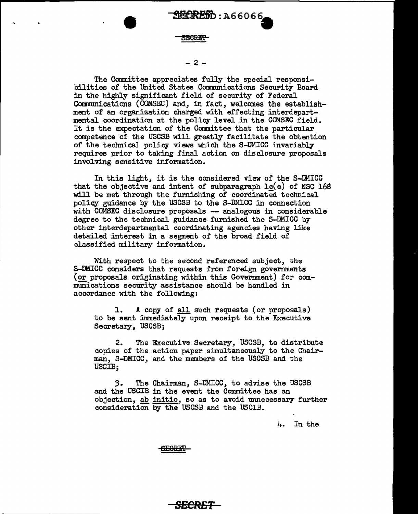MleRffi'

!fiflftfBb : A6 6 0 6 6-

#### $-2 -$

The Committee appreciates fully the special responsibilities of the United States Communications Security Board in the highly significant field of security of Federal Communications (COMSEC) and, in fact, welcomes the establishment of an organization charged with effecting interdepartmental coordination at the policy level in the CCMSEC field. It is the expectation of the Committee that the particular competence of the USCSB will greatly facilitate the obtention of the technical policy views which the S-DMICC invariably requires prior to taking final action on disclosure proposals involving sensitive information.

In this light, it is the considered view of the S-DMICC that the objective and intent of subparagraph  $lc(e)$  of NSC 168 will be met through the furnishing of coordinated technical policy guidance by the USCSB to the S-DMICC in connection with COMSEC disclosure proposals -- analogous in considerable degree to the technical guidance furnished the S-DMICC by other interdepartmental coordinating agencies having like detailed interest in a segment of the broad field of classified military information.

With respect to the second referenced subject, the S-DMICC considers that requests from foreign governments (or proposals originating within this Government) for communications security assistance should be handled in accordance with the following:

1. A copy of all such requests (or proposals) to be sent immediately upon receipt to the Executive Secretary, USCSB;

2. The Executive Secretary, USCSB, to distribute copies of the action paper simultaneously to the Chairman, S-DMICC, and the members of the USCSB and the USCIB;

3. The Chairman, S-DMICC, to advise the USCSB and the USCIB in the event the Committee has an objection, ab initio, so as to avoid unnecessary further consideration by the USCSB and the USCIB.

4. In the

<del>SECRET</del>

### *SECRET*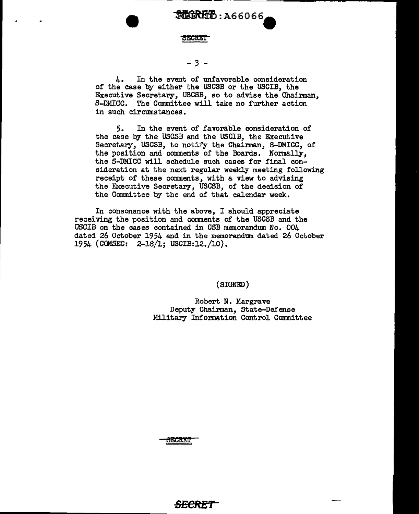

MKRED: A66066

#### - *3* -

4. In the event of unfavorable consideration of the case by either the USGSB or the USGIB, the Executive Secretary, USGSB, so to advise the Chairman, S-DMICC. The Committee will take no further action in such circumstances.

5. In the event of favorable consideration of the case by the USCSB and the USCIB, the Executive Secretary, USCSB, to notify the Chairman, S-DMICC, of the position and comments of the Boards. Normally, the S-DMICC will schedule such cases for final consideration at the next regular weekly meeting following receipt of these comments, with a view to advising the Executive Secretary, USCSB, of the decision of the Committee by the end of that calendar week.

In consonance with the above, I should appreciate receiving the position and comments of the USCSB and the USCIB on the cases contained in GSB memorandum No. 004 dated 26 October 1954 and in the memorandum. dated 26 October 1954 (COMSEC: 2-18/1; USCIB:l2./10).

(SIGNED)

Robert N. Margrave Deputy Chairman, State-Defense Military Information Control Committee

**SECRET**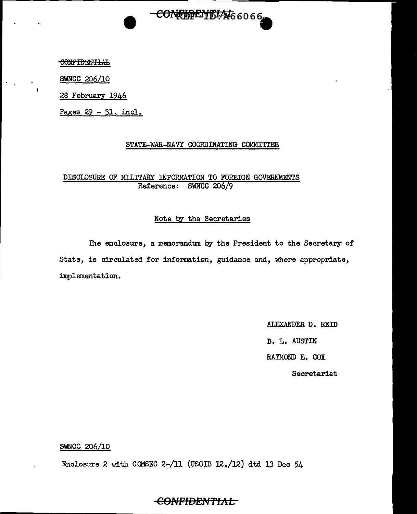SWNCC 206/10

28 February 1946

Pages 29 - 31, incl.

#### STATE-WAR-NAVY COORDINATING COMMITTEE

CONF的ENTIAt66066

#### DISCLOSURE OF MILITARY INFORMATION TO FOREIGN GOVERNMENTS Reference: SWNCC 206/9

#### Note by the Secretaries

The enclosure, a memorandum by the President to the Secretary of State, is circulated for information, guidance and, where appropriate, implementation.

> ALEXANDER D. REID B. L. AUSTIN RAYMOND E. COX Secretariat

#### SWNCC 206/10

Enclosure 2 with COMSEC 2-/11 (USCIB  $12./12$ ) dtd 13 Dec 54

### **COl\'FIDENTtAL**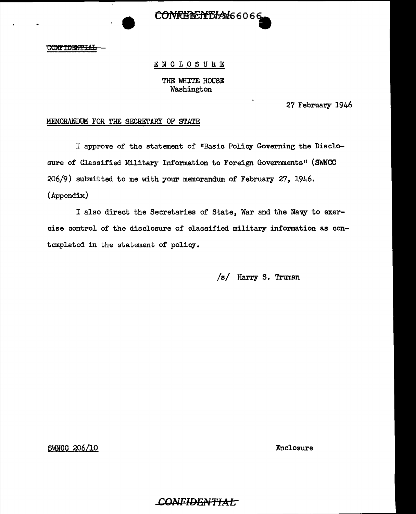

# ENCLOSURE THE WHITE HOUSE

Washington

27 February 1946

#### MEMORANDUM FOR THE SECRETARY OF STATE

I approve of the statement of "Basic Policy Governing the Disclosure of Classified Military Information to Foreign Governments" (SWNCC 206/9) sutmitted to me with your memorandum of February 27, 1946. (Appendix)

I also direct the Secretaries of State, War and the Navy to exercise control of the disclosure of classified military information as contemplated in the statement of policy.

CONFIDEN<del>TIAI.</del>

/s/ Harry S. Truman

SWNCC 206/10 Enclosure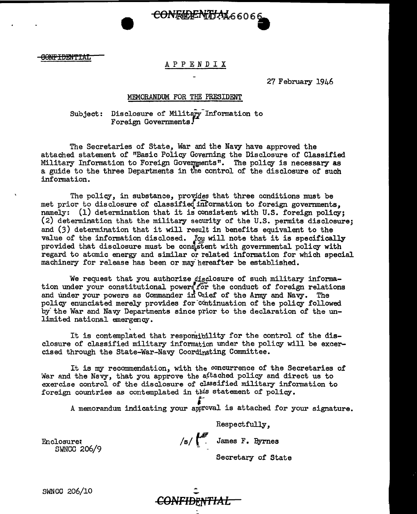# OONFIDENTIAL CONFIDENTIAL CONFIDENTIAL

CONFERENTIAL66066

27 February 1946

#### MEMORANDUM FOR THE PRESIDENT

#### Subject: Disclosure of Military Information to Foreign Governments.

The Secretaries of State, War and the Navy have approved the attached statement of 11Basic Policy Governing the Disclosure of Classified Military Information to Foreign Governments". The policy is necessary as a guide to the three Departments in the control of the disclosure of such information.

The policy, in substance, provides that three conditions must be met prior to disclosure of classifie{information to foreign governments, namely: (1) determination that it is consistent with U.S. foreign policy; (2) determination that the military security of the U.S. permits disclosure; and (3) determination that it will result in benefits equivalent to the value of the information disclosed. *You* will note that it is specifically provided that disclosure must be consistent with governmental policy with regard to atomic energy and similar or related information for which special machinery for release has been or may hereafter be established.

We request that you authorize disclosure of such military information under your constitutional powers for the conduct of foreign relations and under your powers as Commander in Chief of the Army and Navy. The policy enunciated merely provides for-continuation of the policy followed by the War and Navy Departments since prior to the declaration of the unlimited national emergency.

It is contemplated that responsibility for the control of the disclosure of classified military information under the policy will be excercised through the State-War-Navy Coordinating Committee.

It is my recommendation, with the concurrence of the Secretaries of War and the Navy, that you approve the a<sup>ftached</sup> policy and direct us to exercise control of the disclosure of classified military information to foreign countries as contemplated in *this* statement of policy. ;-

A memorandum indicating your approval is attached for your signature.

Respectfully,  $/s/$   $\leftarrow$  James F. Byrnes

Enclosure; SWNCC 206/9

Secretary of State

SWNCC 206/10

*CONFIDENTIAL*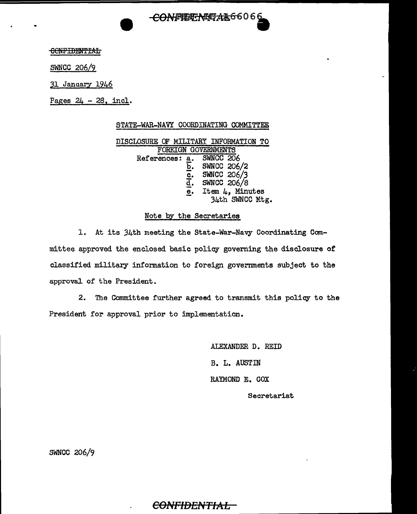<del>CONFITTALDAA6</del>6066

**OONFIBENTIAL** 

SWNCC 206/9

31 January 1946

Pages  $24 - 28$ , incl.

#### STATE-WAR-NAVY COORDINATING COMMITTEE

DISCLOSURE OF MILITARY INFORMATION TO FOREIGN GOVERNMENTS<br>
ences: a. SWNCC 206 References: a. SWNCC 206/2  $\overline{c}$ . SWNCC 206/3<br>d. SWNCC 206/8 SWNCC 206/8  $\overline{e}$ . Item  $\mu$ , Minutes 34th SWNCC Mtg.

#### Note by the Secretaries

1. At its 34th meeting the State-War-Navy Coordinating Committee approved the enclosed basic policy governing the disclosure or classified military information to foreign governments subject to the approval of the President.

2. The Committee further agreed to transmit this policy to the President for approval prior to implementation.

> ALEXANDER D. REID B. L. AUSTIN RAYMOND E. COX Secretariat

SWNCC 206/9

### $\epsilon$ <del>ONFIDENTIAL -</del>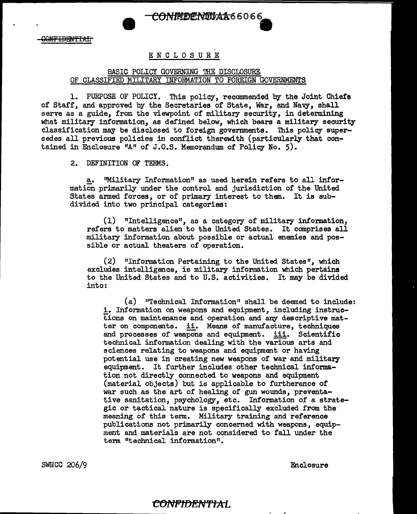### CONFREENTLAA66066

#### ENCLOSURE

#### BASIC POLICY GOVERNING THE DISCLOSURE OF CLASSIFIED MILITARY INFORMATION TO FOREIGN GOVERNMENTS

1. PURPOSE OF POLICY. This policy, recommended by the Joint Chiefs of Staff, and approved by the Secretaries of State, War, and Navy, shall serve as a guide, from the viewpoint of military security, in determining what military information, as defined below, which bears a military security classification may be disclosed to foreign governments. This policy supersedes all previous policies in conflict therewith (particularly that contained in Enclosure "A" of J.O.S. Memorandum of Policy No. 5).

2. DEFINITION OF TERMS.

a. ''Military Information" as used herein refers to all information primarily under the control and jurisdiction of the United States armed forces, or of primary interest to them. It is subdivided into two principal categories:

 $(1)$  "Intelligence", as a category of military information, refers to matters alien to the United States. It comprises all military information about possible or actual enemies and possible or actual theaters of operation.

 $(2)$  "Information Pertaining to the United States", which excludes intelligence, is military information which pertains to the United States and to U.S. activities. It may be divided into:

(a) "Technical Information" shall be deemed to include: i. Information on weapons and equipment, including instructions on maintenance and operation and any descriptive matter on components. ii. Means of manufacture, techniques and processes of weapons and equipment. iii. Scientific technical information dealing with the various arts and sciences relating to weapons and equipment or having potential use in creating new weapons of war and military equipment. It further includes other technical information not directly connected to weapons and equipment (material objects) but is applicable to furtherance of war such as the art of healing of gun wounds, preventative sanitation, psychology, etc. Information of a strategic or tactical nature is specifically excluded from the meaning of this term. Military training and reference publications not primarily concerned with weapons, equipment and materials are not considered to fall under the term "technical information".

SWNCC 206/9

Enclosure

#### CONFIDENTIAL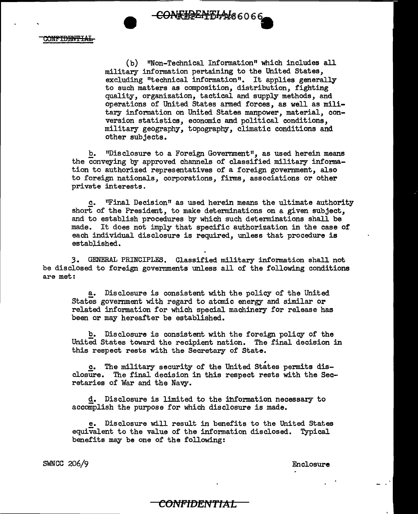<del>CON:hPLAD4</del>66066

CONFIDENTIAL

(b) "Non-Technical Information" which includes all military information pertaining to the United States, excluding "technical information". It applies generally to such matters as composition, distribution, fighting quality, organization, tactical and supply methods, and operations of United States armed forces, as well as military information on United States manpower, material, conversion statistics, economic and political conditions, military geography, topography, climatic conditions and other subjects.

£. "Disclosure to a Foreign Government", as used herein means the conveying by approved channels of classified military information to authorized representatives of a foreign government, also to foreign nationals, corporations, firms, associations or other private interests.

c. "Final Decision" as used herein means the ultimate authority short of the President, to make determinations on a given subject, and to establish procedures by which such determinations shall be made. It does not imply that specific authorization in the case of each individual disclosure is required, unless that procedure is established.

,3. GENERAL PRINCIPLES. Classified military information shall not be disclosed to foreign governments unless all of the following conditions are met:

a. Disclosure is consistent with the policy of the United States government with regard to atomic energy and similar or related information for which special machinery for release has been or may hereafter be established.

b. Disclosure is consistent with the foreign policy of the United States toward the recipient nation. The final decision in this respect rests with the Secretary of State.

c. The military security of the United States permits disclosure. The final decision in this respect rests with the Secretaries of War and the Navy.

d. Disclosure is limited to the information necessary to accomplish the purpose for which disclosure is made.

e. Disclosure will result in benefits to the United States equivalent to the value of the information disclosed. Typical benefits may be one of the following:

**COl''IFtDENTtAL** 

SWNCC 206/9 Enclosure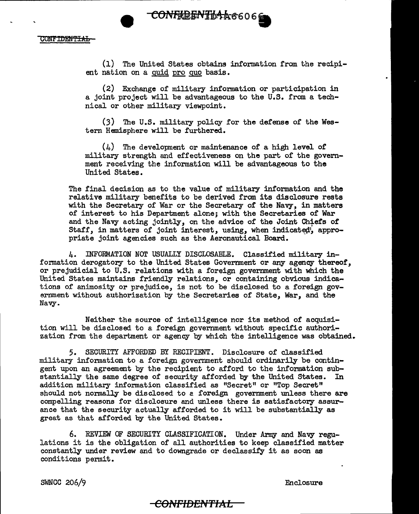

(1) The United States obtains information from the recipient nation on a quid pro quo basis.

(2) Exchange of military information or participation in a joint project will be advantageous to the U.S. from a technical or other military viewpoint.

(3) The U.S. military policy for the defense of the Western Hemisphere will be furthered.

(4) The development or maintenance of a high level of military strength and effectiveness on the part of the government receiving the information will be advantageous to the United States.

The final decision as to the value of military information and the relative military benefits to be derived from its disclosure rests with the Secretary of War or the Secretary of the Navy, in matters of interest to his Department alone; with the Secretaries of War and the Navy acting jointly, on the advice of the Joint Chiefs of Staff, in matters of joint interest, using, when indicated', appropriate joint agencies such as the Aeronautical Board.

4. INFORMATION NOT USUALLY DISCLOSABLE. Classified military information derogatory to the United States Government or any agency thereof, or prejudicial to U.S. relations with a foreign government with which the United States maintains friendly relations, or containing obvious indications of animosity or prejudice, is not to be disclosed to a foreign government without authorization by the Secretaries of State, War, and the Navy.

Neither the source of intelligence nor its method of acquisition will be disclosed to a foreign government without specific authorization from the department or agency by which the intelligence was obtained.

5. SECURITY AFFORDED BY RECIPIENT. Disclosure of classified military information to a foreign govermnent should ordinarily be contingent upon an agreement by the recipient to afford to the information substantially the same degree of security afforded by the United States. In addition military information classified as "Secret" or "Top Secret" should not normally be disclosed to a foreign government unless there are compelling reasons for disclosure and unless there is satisfactory assurance that the security actually afforded to it will be substantially as great as that afforded by the United States.

6. REVIEW OF SECURITY CLASSIFICATION. Under Army and Navy regulations it is the obligation of all authorities to keep classified matter constantly under review and to downgrade or declassify it as soon as conditions pennit.

SWNCC 206/9 Enclosure

### <del>-CONFIDENTIAL.</del>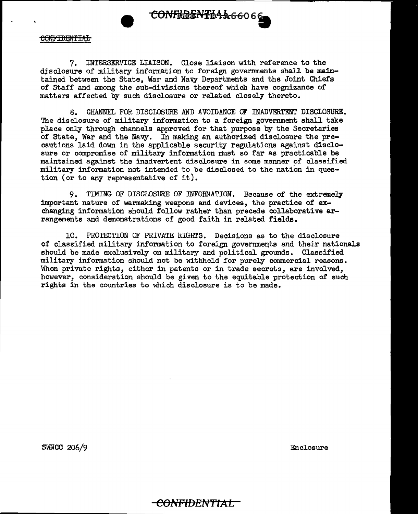

7. INTERSERVICE LIAISON. Close liaison with reference to the disclosure of military information to foreign governments shall be maintained between the State, War and Navy Departments and the Joint Chiefs of Staff and among the sub-divisions thereof which have cognizance of matters affected by such disclosure or related closely thereto.

8. CHANNEL FOH. DISCLOSURE AND AVOIDANCE OF INADVERTENT DISCLOSURE. The disclosure of military information to a foreign government shall take place only through channels approved for that purpose by the Secretaries of State, War and the Navy. In making an authorized disclosure the precautions laid down in the applicable security regulations against disclosure or compromise of military information must so far as practicable be maintained against the inadvertent disclosure in some manner of classified military information not intended to be disclosed to the nation in question (or to any representative of it).

9. TIMING OF DISCLOSURE OF INFORMATION. Because of the extremely important nature of warmaking weapons and devices, the practice of exchanging information should follow rather than precede collaborative arrangements and demonstrations of good faith in related fields.

10. PROTECTION OF PRIVATE RIGHrS. Decisions as to the disclosure of classified military information to foreign governments and their nationals should be made exclusively on military and political grounds. Classified military information should not be withheld for purely commercial reasons. When private rights, either in patents or in trade secrets, are involved, however, consideration should be given to the equitable protection of such rights in the countries to which disclosure is to be made.

SWNCC 206/9 Enclosure

### <del>-CONFIDENTIAL -</del>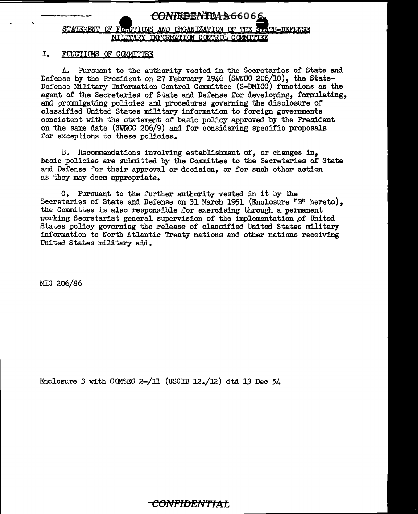### <del>CONFREENT104A6</del>6066 STATEMENT OF FLACTIONS AND ORGANIZATION OF THE STATE-DEFENSE MILITARY INFORMATION CONTROL COMMITTEE

#### I. FUNCTIONS OF COMMITTEE

A. Pursuant to the authority vested in the Secretaries of State and Defense by the President on 27 February 1946 (SWNCC 206/10). the State-Defense Military Information Control Committee (S-DMICC) functions as the agent of the Secretaries of State and Defense for developing, formulating, and promulgating policies and procedures governing the disclosure of classified United States military information to foreign governments consistent with the statement of basic policy approved by the President on the same date (S'WNCC 206/9) and for considering specific proposals for exceptions to these policies.

B. Recommendations involving establishment of, or changes in, basic policies are submitted by the Committee to the Secretaries of State and Defense for their approval or decision, or for such other action as they may deem appropriate.

c. Pursuant to the further authority vested in it by the Secretaries of State and Defense on 31 March 1951 (Enclosure "B" hereto), the Committee is also responsible for exercising through a permanent working Secretariat general supervision of the implementation *pf* United States policy governing the release of classified United States military information to North Atlantic Treaty nations and other nations receiving United States military aid.

MIC 206/86

Enclosure *3* with CCMSEC 2-/11 (USCIB 12./12) dtd 13 Dec 54

## **CONFIDENTIAL**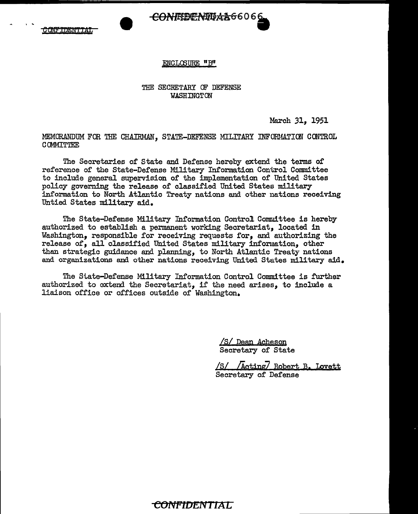#### ENCLCSURE "B"

#### THE SECRETARY CF DEFENSE WASHINGTON

March 31, 1951

MEMORANDUM FOR THE CHAIRMAN, STATE-DEFENSE MILITARY INFORMATION CONTROL **COMMITTEE** 

The Secretaries of State and Defense hereby extend the terms of reference of the State-Defense Military Information Control Committee to include general supervision of the implementation of United States policy governing the release of classified United States military information to North Atlantic Treaty nations and other nations receiving Untied States military aid.

The State-Defense Military Information Control Committee is hereby authorized to establish a permanent working Secretariat, located in Washington, responsible for receiving requests for, and authorizing the release of, all classified United States military information, other than strategic guidance and planning, to North Atlantic Treaty nations and organizations and other nations receiving United States military aid.

The State-Defense Military Information Control Committee is further authorized to axtend the Secretariat, if the need arises, to include a liaison office or offices outside of Washington.

> */SI* Dean Acheson Secretary of State

/S/ /Acting/ Robert B. Lovett Secretary of Defense

### <del>CONFIDENTIAL</del>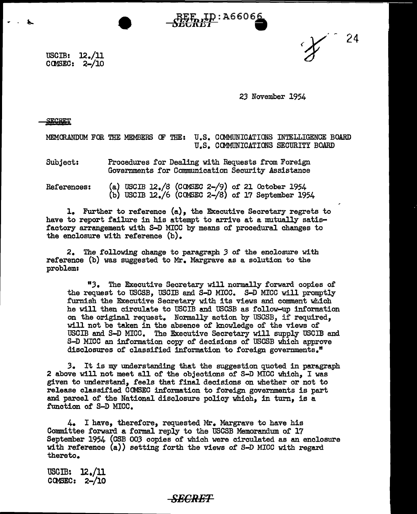24

USCIB: 12./11  $C$  C OMSEC:  $2-\frac{10}{10}$ 

*23* November 1954

SECRET

 $\ddot{\mathbf{r}}$ .

MEMORANDUM FOR THE MEMBERS OF THE: U.S. COMMUNICATIONS INTELLIGENCE BOARD U.S. COMMUNICATIONS SECURITY BOARD

**REE ID: A66066** 

Subject: Procedures for Dealing with Requests from Foreign Governments for Communication Security Assistance

References: (a) USCIB  $12./8$  (COMSEC 2- $/9$ ) of 21 October 1954 (b) USCIB 12./6 (COMSEC 2-/8) of 17 September 1954

1. Further to reference (a), the Executive Secretary regrets to have to report failure in his attempt to arrive at a mutually satisfactory arrangement with S-D MICC by means of' procedural changes to the enclosure with reference (b).

2. The following change to paragraph *3* of the enclosure with reference (b) was suggested to Mr. Margrave as a solution to the problem:

"3. The Executive Secretary will normally forward copies of the request to USGSB, USGIB and S-D MICC. S-D MICC will promptly furnish the Executive Secretary with its views and comment which he will then circulate to USCIB and USCSB as follow-up information on the original request. Normally action by USCSB, if required, will not be taken in the absence of knowledge of the views of USCIB and S-D MICC. The Executive Secretary will supply USCIB and S-D MICC an information copy of decisions of USGSB which approve disclosures of classified information to foreign governments."

3. It is my understanding that the suggestion quoted in paragraph 2 above will not meet all of the objections of S-D MICC which, I was given to understand, feels that final decisions on whether or not to release classified COMSEC information to foreign. governments is part and parcel of the National disclosure policy which, in turn, is a function of S-D MICC.

 $4.$  I have, therefore, requested Mr. Margrave to have his Committee forward a formal reply to the USCSB Memorandum. of 17 September 1954 (CSB *003* copies of which were circulated as an enclosure with reference (a)) setting forth the views of S-D MICC with regard thereto.

 $\texttt{USGIB:} \quad 12./11$ COMSEC: 2-/10

#### *SECRET*